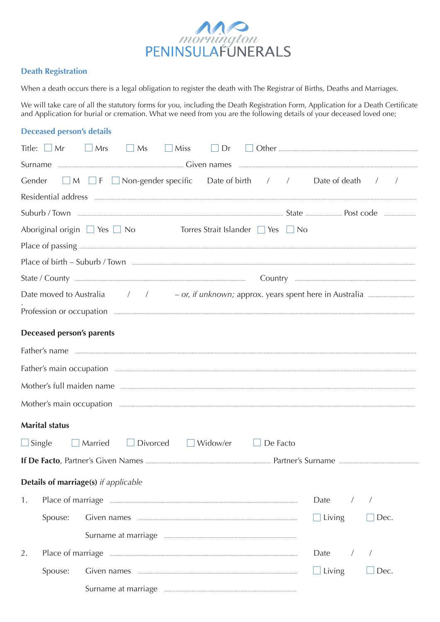

## **Death Registration**

When a death occurs there is a legal obligation to register the death with The Registrar of Births, Deaths and Marriages.

We will take care of all the statutory forms for you, including the Death Registration Form, Application for a Death Certificate and Application for burial or cremation. What we need from you are the following details of your deceased loved one;

## **Deceased person's details**

| Mrs<br>Title: $\Box$ Mr                                                                                                                                                                                                             |                                |
|-------------------------------------------------------------------------------------------------------------------------------------------------------------------------------------------------------------------------------------|--------------------------------|
|                                                                                                                                                                                                                                     |                                |
| Gender $\Box$ M $\Box$ F $\Box$ Non-gender specific Date of birth / / Date of death / /                                                                                                                                             |                                |
|                                                                                                                                                                                                                                     |                                |
|                                                                                                                                                                                                                                     |                                |
| Aboriginal origin $\Box$ Yes $\Box$ No Torres Strait Islander $\Box$ Yes $\Box$ No                                                                                                                                                  |                                |
|                                                                                                                                                                                                                                     |                                |
|                                                                                                                                                                                                                                     |                                |
|                                                                                                                                                                                                                                     |                                |
|                                                                                                                                                                                                                                     |                                |
|                                                                                                                                                                                                                                     |                                |
| <b>Deceased person's parents</b>                                                                                                                                                                                                    |                                |
|                                                                                                                                                                                                                                     |                                |
|                                                                                                                                                                                                                                     |                                |
| Mother's full maiden name                                                                                                                                                                                                           |                                |
| Mother's main occupation <i>manufacture communication</i> and a series of the series of the series of the series of the series of the series of the series of the series of the series of the series of the series of the series of |                                |
| <b>Marital status</b>                                                                                                                                                                                                               |                                |
| □ Divorced □ Widow/er □ De Facto<br>$\Box$ Single<br>$\Box$ Married                                                                                                                                                                 |                                |
|                                                                                                                                                                                                                                     |                                |
| Details of marriage(s) if applicable                                                                                                                                                                                                |                                |
| 1.                                                                                                                                                                                                                                  | Date                           |
| Spouse:                                                                                                                                                                                                                             | Living<br>Dec.<br>$\mathbf{I}$ |
|                                                                                                                                                                                                                                     |                                |
| 2.                                                                                                                                                                                                                                  | Date                           |
| Spouse:                                                                                                                                                                                                                             | $\Box$ Living<br>Dec.          |
|                                                                                                                                                                                                                                     |                                |